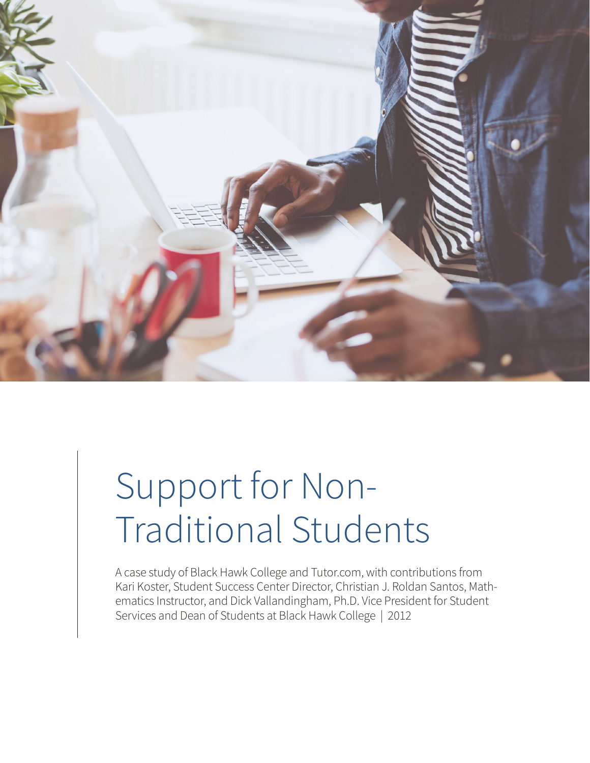

## Support for Non-Traditional Students

A case study of Black Hawk College and Tutor.com, with contributions from Kari Koster, Student Success Center Director, Christian J. Roldan Santos, Mathematics Instructor, and Dick Vallandingham, Ph.D. Vice President for Student Services and Dean of Students at Black Hawk College | 2012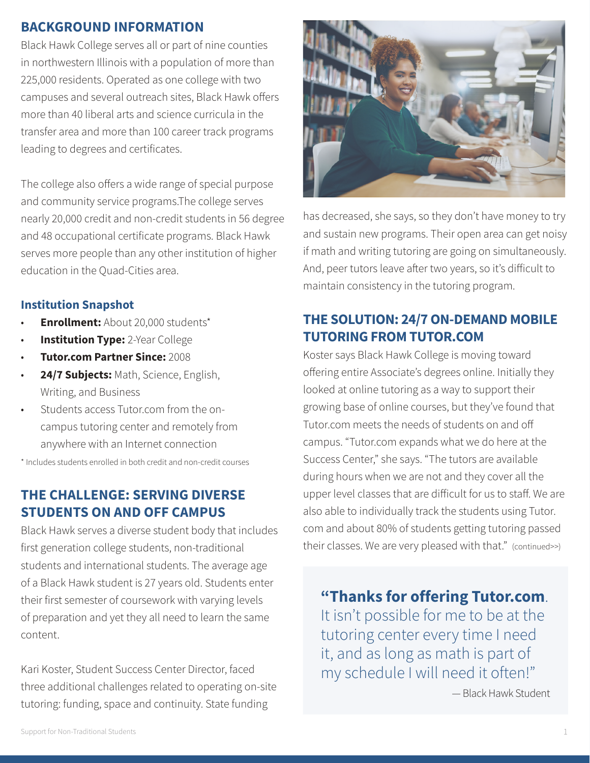#### **BACKGROUND INFORMATION**

Black Hawk College serves all or part of nine counties in northwestern Illinois with a population of more than 225,000 residents. Operated as one college with two campuses and several outreach sites, Black Hawk offers more than 40 liberal arts and science curricula in the transfer area and more than 100 career track programs leading to degrees and certificates.

The college also offers a wide range of special purpose and community service programs.The college serves nearly 20,000 credit and non-credit students in 56 degree and 48 occupational certificate programs. Black Hawk serves more people than any other institution of higher education in the Quad-Cities area.

#### **Institution Snapshot**

- **Enrollment:** About 20,000 students\*
- **Institution Type:** 2-Year College
- **Tutor.com Partner Since:** 2008
- 24/7 Subjects: Math, Science, English, Writing, and Business
- Students access Tutor.com from the on campus tutoring center and remotely from anywhere with an Internet connection

\* Includes students enrolled in both credit and non-credit courses

#### **THE CHALLENGE: SERVING DIVERSE STUDENTS ON AND OFF CAMPUS**

Black Hawk serves a diverse student body that includes first generation college students, non-traditional students and international students. The average age of a Black Hawk student is 27 years old. Students enter their first semester of coursework with varying levels of preparation and yet they all need to learn the same content.

Kari Koster, Student Success Center Director, faced three additional challenges related to operating on-site tutoring: funding, space and continuity. State funding



has decreased, she says, so they don't have money to try and sustain new programs. Their open area can get noisy if math and writing tutoring are going on simultaneously. And, peer tutors leave after two years, so it's difficult to maintain consistency in the tutoring program.

#### **THE SOLUTION: 24/7 ON-DEMAND MOBILE TUTORING FROM TUTOR.COM**

Koster says Black Hawk College is moving toward offering entire Associate's degrees online. Initially they looked at online tutoring as a way to support their growing base of online courses, but they've found that Tutor.com meets the needs of students on and off campus. "Tutor.com expands what we do here at the Success Center," she says. "The tutors are available during hours when we are not and they cover all the upper level classes that are difficult for us to staff. We are also able to individually track the students using Tutor. com and about 80% of students getting tutoring passed their classes. We are very pleased with that." (continued>>)

**"Thanks for offering Tutor.com**. It isn't possible for me to be at the tutoring center every time I need it, and as long as math is part of my schedule I will need it often!"

— Black Hawk Student